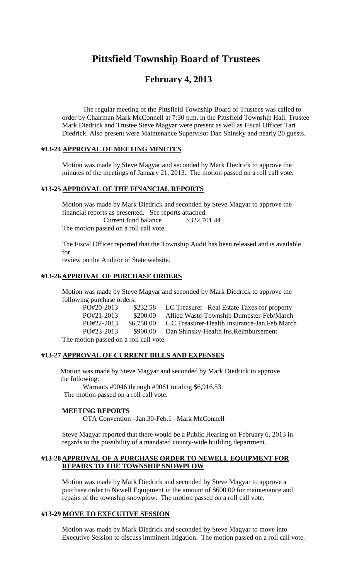# **Pittsfield Township Board of Trustees**

# **February 4, 2013**

The regular meeting of the Pittsfield Township Board of Trustees was called to order by Chairman Mark McConnell at 7:30 p.m. in the Pittsfield Township Hall. Trustee Mark Diedrick and Trustee Steve Magyar were present as well as Fiscal Officer Tari Diedrick. Also present were Maintenance Supervisor Dan Shinsky and nearly 20 guests.

# **#13-24 APPROVAL OF MEETING MINUTES**

Motion was made by Steve Magyar and seconded by Mark Diedrick to approve the minutes of the meetings of January 21, 2013. The motion passed on a roll call vote.

#### **#13-25 APPROVAL OF THE FINANCIAL REPORTS**

Motion was made by Mark Diedrick and seconded by Steve Magyar to approve the financial reports as presented. See reports attached. Current fund balance \$322,701.44 The motion passed on a roll call vote.

The Fiscal Officer reported that the Township Audit has been released and is available for

review on the Auditor of State website.

#### **#13-26 APPROVAL OF PURCHASE ORDERS**

Motion was made by Steve Magyar and seconded by Mark Diedrick to approve the following purchase orders:

PO#20-2013 \$232.58 LC Treasurer –Real Estate Taxes for property PO#21-2013 \$200.00 Allied Waste-Township Dumpster-Feb/March PO#22-2013 \$6,750.00 L.C.Treasurer-Health Insurance-Jan.Feb.March PO#23-2013 \$900.00 Dan Shinsky-Health Ins.Reimbursement

The motion passed on a roll call vote.

#### **#13-27 APPROVAL OF CURRENT BILLS AND EXPENSES**

Motion was made by Steve Magyar and seconded by Mark Diedrick to approve the following:

Warrants #9046 through #9061 totaling \$6,916.53 The motion passed on a roll call vote.

#### **MEETING REPORTS**

OTA Convention –Jan.30-Feb.1 –Mark McConnell

Steve Magyar reported that there would be a Public Hearing on February 6, 2013 in regards to the possibility of a mandated county-wide building department.

#### **#13-28 APPROVAL OF A PURCHASE ORDER TO NEWELL EQUIPMENT FOR REPAIRS TO THE TOWNSHIP SNOWPLOW**

Motion was made by Mark Diedrick and seconded by Steve Magyar to approve a purchase order to Newell Equipment in the amount of \$600.00 for maintenance and repairs of the township snowplow. The motion passed on a roll call vote.

# **#13-29 MOVE TO EXECUTIVE SESSION**

Motion was made by Mark Diedrick and seconded by Steve Magyar to move into Executive Session to discuss imminent litigation. The motion passed on a roll call vote.